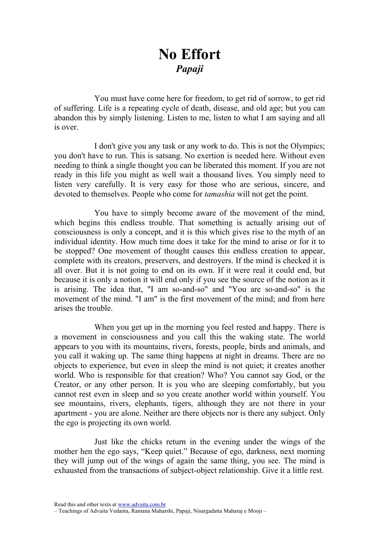## No Effort Papaji

You must have come here for freedom, to get rid of sorrow, to get rid of suffering. Life is a repeating cycle of death, disease, and old age; but you can abandon this by simply listening. Listen to me, listen to what I am saying and all is over.

I don't give you any task or any work to do. This is not the Olympics; you don't have to run. This is satsang. No exertion is needed here. Without even needing to think a single thought you can be liberated this moment. If you are not ready in this life you might as well wait a thousand lives. You simply need to listen very carefully. It is very easy for those who are serious, sincere, and devoted to themselves. People who come for *tamashia* will not get the point.

You have to simply become aware of the movement of the mind, which begins this endless trouble. That something is actually arising out of consciousness is only a concept, and it is this which gives rise to the myth of an individual identity. How much time does it take for the mind to arise or for it to be stopped? One movement of thought causes this endless creation to appear, complete with its creators, preservers, and destroyers. If the mind is checked it is all over. But it is not going to end on its own. If it were real it could end, but because it is only a notion it will end only if you see the source of the notion as it is arising. The idea that, "I am so-and-so" and "You are so-and-so" is the movement of the mind. "I am" is the first movement of the mind; and from here arises the trouble.

When you get up in the morning you feel rested and happy. There is a movement in consciousness and you call this the waking state. The world appears to you with its mountains, rivers, forests, people, birds and animals, and you call it waking up. The same thing happens at night in dreams. There are no objects to experience, but even in sleep the mind is not quiet; it creates another world. Who is responsible for that creation? Who? You cannot say God, or the Creator, or any other person. It is you who are sleeping comfortably, but you cannot rest even in sleep and so you create another world within yourself. You see mountains, rivers, elephants, tigers, although they are not there in your apartment - you are alone. Neither are there objects nor is there any subject. Only the ego is projecting its own world.

Just like the chicks return in the evening under the wings of the mother hen the ego says, "Keep quiet." Because of ego, darkness, next morning they will jump out of the wings of again the same thing, you see. The mind is exhausted from the transactions of subject-object relationship. Give it a little rest.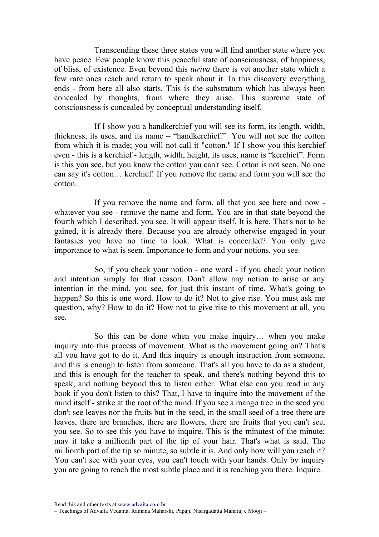Transcending these three states you will find another state where you have peace. Few people know this peaceful state of consciousness, of happiness, of bliss, of existence. Even beyond this turiya there is yet another state which a few rare ones reach and return to speak about it. In this discovery everything ends - from here all also starts. This is the substratum which has always been concealed by thoughts, from where they arise. This supreme state of consciousness is concealed by conceptual understanding itself.

If I show you a handkerchief you will see its form, its length, width, thickness, its uses, and its name – "handkerchief." You will not see the cotton from which it is made; you will not call it "cotton." If I show you this kerchief even - this is a kerchief - length, width, height, its uses, name is "kerchief". Form is this you see, but you know the cotton you can't see. Cotton is not seen. No one can say it's cotton… kerchief! If you remove the name and form you will see the cotton.

If you remove the name and form, all that you see here and now whatever you see - remove the name and form. You are in that state beyond the fourth which I described, you see. It will appear itself. It is here. That's not to be gained, it is already there. Because you are already otherwise engaged in your fantasies you have no time to look. What is concealed? You only give importance to what is seen. Importance to form and your notions, you see.

So, if you check your notion - one word - if you check your notion and intention simply for that reason. Don't allow any notion to arise or any intention in the mind, you see, for just this instant of time. What's going to happen? So this is one word. How to do it? Not to give rise. You must ask me question, why? How to do it? How not to give rise to this movement at all, you see.

So this can be done when you make inquiry… when you make inquiry into this process of movement. What is the movement going on? That's all you have got to do it. And this inquiry is enough instruction from someone, and this is enough to listen from someone. That's all you have to do as a student, and this is enough for the teacher to speak, and there's nothing beyond this to speak, and nothing beyond this to listen either. What else can you read in any book if you don't listen to this? That, I have to inquire into the movement of the mind itself - strike at the root of the mind. If you see a mango tree in the seed you don't see leaves nor the fruits but in the seed, in the small seed of a tree there are leaves, there are branches, there are flowers, there are fruits that you can't see, you see. So to see this you have to inquire. This is the minutest of the minute; may it take a millionth part of the tip of your hair. That's what is said. The millionth part of the tip so minute, so subtle it is. And only how will you reach it? You can't see with your eyes, you can't touch with your hands. Only by inquiry you are going to reach the most subtle place and it is reaching you there. Inquire.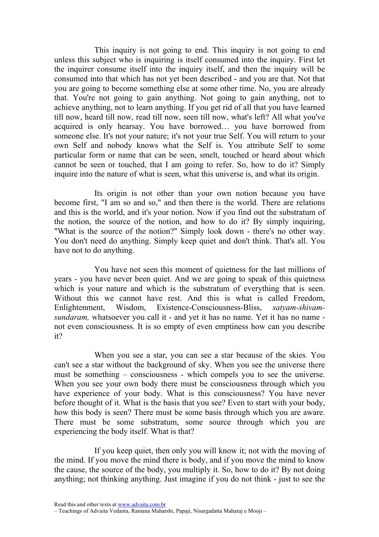This inquiry is not going to end. This inquiry is not going to end unless this subject who is inquiring is itself consumed into the inquiry. First let the inquirer consume itself into the inquiry itself, and then the inquiry will be consumed into that which has not yet been described - and you are that. Not that you are going to become something else at some other time. No, you are already that. You're not going to gain anything. Not going to gain anything, not to achieve anything, not to learn anything. If you get rid of all that you have learned till now, heard till now, read till now, seen till now, what's left? All what you've acquired is only hearsay. You have borrowed… you have borrowed from someone else. It's not your nature; it's not your true Self. You will return to your own Self and nobody knows what the Self is. You attribute Self to some particular form or name that can be seen, smelt, touched or heard about which cannot be seen or touched, that I am going to refer. So, how to do it? Simply inquire into the nature of what is seen, what this universe is, and what its origin.

Its origin is not other than your own notion because you have become first, "I am so and so," and then there is the world. There are relations and this is the world, and it's your notion. Now if you find out the substratum of the notion, the source of the notion, and how to do it? By simply inquiring, "What is the source of the notion?" Simply look down - there's no other way. You don't need do anything. Simply keep quiet and don't think. That's all. You have not to do anything.

You have not seen this moment of quietness for the last millions of years - you have never been quiet. And we are going to speak of this quietness which is your nature and which is the substratum of everything that is seen. Without this we cannot have rest. And this is what is called Freedom, Enlightenment, Wisdom, Existence-Consciousness-Bliss, satyam-shivamsundaram, whatsoever you call it - and yet it has no name. Yet it has no name not even consciousness. It is so empty of even emptiness how can you describe it?

When you see a star, you can see a star because of the skies. You can't see a star without the background of sky. When you see the universe there must be something – consciousness - which compels you to see the universe. When you see your own body there must be consciousness through which you have experience of your body. What is this consciousness? You have never before thought of it. What is the basis that you see? Even to start with your body, how this body is seen? There must be some basis through which you are aware. There must be some substratum, some source through which you are experiencing the body itself. What is that?

If you keep quiet, then only you will know it; not with the moving of the mind. If you move the mind there is body, and if you move the mind to know the cause, the source of the body, you multiply it. So, how to do it? By not doing anything; not thinking anything. Just imagine if you do not think - just to see the

Read this and other texts at www.advaita.com.br

<sup>–</sup> Teachings of Advaita Vedanta, Ramana Maharshi, Papaji, Nisargadatta Maharaj e Mooji –